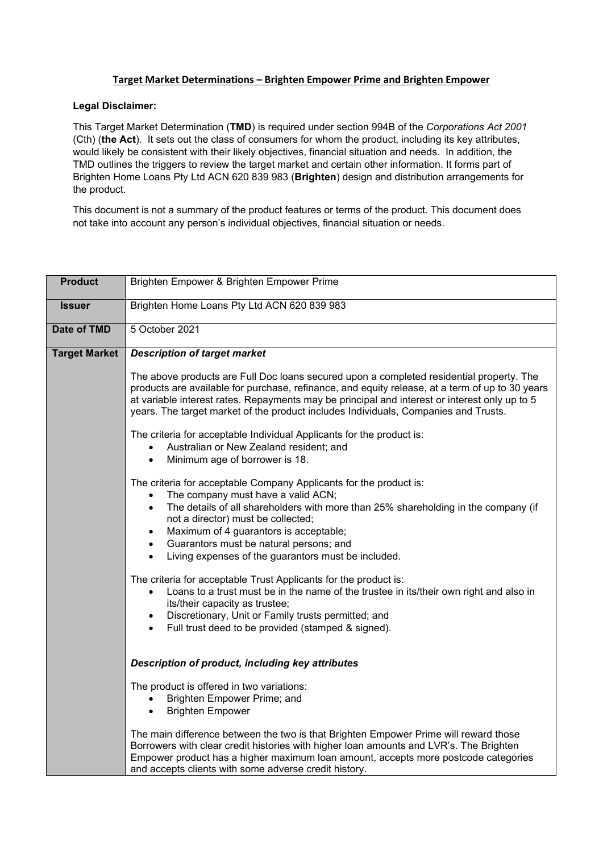## **Target Market Determinations – Brighten Empower Prime and Brighten Empower**

## **Legal Disclaimer:**

This Target Market Determination (**TMD**) is required under section 994B of the *Corporations Act 2001* (Cth) (**the Act**). It sets out the class of consumers for whom the product, including its key attributes, would likely be consistent with their likely objectives, financial situation and needs. In addition, the TMD outlines the triggers to review the target market and certain other information. It forms part of Brighten Home Loans Pty Ltd ACN 620 839 983 (**Brighten**) design and distribution arrangements for the product.

This document is not a summary of the product features or terms of the product. This document does not take into account any person's individual objectives, financial situation or needs.

| <b>Product</b>       | Brighten Empower & Brighten Empower Prime                                                                                                                                                                                                                                                                                                                                                                                                                                                                                                                                                                                                                                                                                                                                                                                                                                                                                                                                                                                                                                                                                                                                                                                                                                                                                                                                    |  |  |  |  |
|----------------------|------------------------------------------------------------------------------------------------------------------------------------------------------------------------------------------------------------------------------------------------------------------------------------------------------------------------------------------------------------------------------------------------------------------------------------------------------------------------------------------------------------------------------------------------------------------------------------------------------------------------------------------------------------------------------------------------------------------------------------------------------------------------------------------------------------------------------------------------------------------------------------------------------------------------------------------------------------------------------------------------------------------------------------------------------------------------------------------------------------------------------------------------------------------------------------------------------------------------------------------------------------------------------------------------------------------------------------------------------------------------------|--|--|--|--|
| <b>Issuer</b>        | Brighten Home Loans Pty Ltd ACN 620 839 983                                                                                                                                                                                                                                                                                                                                                                                                                                                                                                                                                                                                                                                                                                                                                                                                                                                                                                                                                                                                                                                                                                                                                                                                                                                                                                                                  |  |  |  |  |
| <b>Date of TMD</b>   | 5 October 2021                                                                                                                                                                                                                                                                                                                                                                                                                                                                                                                                                                                                                                                                                                                                                                                                                                                                                                                                                                                                                                                                                                                                                                                                                                                                                                                                                               |  |  |  |  |
| <b>Target Market</b> | <b>Description of target market</b><br>The above products are Full Doc loans secured upon a completed residential property. The<br>products are available for purchase, refinance, and equity release, at a term of up to 30 years<br>at variable interest rates. Repayments may be principal and interest or interest only up to 5<br>years. The target market of the product includes Individuals, Companies and Trusts.<br>The criteria for acceptable Individual Applicants for the product is:<br>Australian or New Zealand resident; and<br>Minimum age of borrower is 18.<br>$\bullet$<br>The criteria for acceptable Company Applicants for the product is:<br>The company must have a valid ACN;<br>The details of all shareholders with more than 25% shareholding in the company (if<br>$\bullet$<br>not a director) must be collected;<br>Maximum of 4 guarantors is acceptable;<br>$\bullet$<br>Guarantors must be natural persons; and<br>$\bullet$<br>Living expenses of the guarantors must be included.<br>$\bullet$<br>The criteria for acceptable Trust Applicants for the product is:<br>Loans to a trust must be in the name of the trustee in its/their own right and also in<br>$\bullet$<br>its/their capacity as trustee;<br>Discretionary, Unit or Family trusts permitted; and<br>$\bullet$<br>Full trust deed to be provided (stamped & signed). |  |  |  |  |
|                      | Description of product, including key attributes                                                                                                                                                                                                                                                                                                                                                                                                                                                                                                                                                                                                                                                                                                                                                                                                                                                                                                                                                                                                                                                                                                                                                                                                                                                                                                                             |  |  |  |  |
|                      | The product is offered in two variations:<br>Brighten Empower Prime; and<br><b>Brighten Empower</b><br>$\bullet$                                                                                                                                                                                                                                                                                                                                                                                                                                                                                                                                                                                                                                                                                                                                                                                                                                                                                                                                                                                                                                                                                                                                                                                                                                                             |  |  |  |  |
|                      | The main difference between the two is that Brighten Empower Prime will reward those<br>Borrowers with clear credit histories with higher loan amounts and LVR's. The Brighten<br>Empower product has a higher maximum loan amount, accepts more postcode categories<br>and accepts clients with some adverse credit history.                                                                                                                                                                                                                                                                                                                                                                                                                                                                                                                                                                                                                                                                                                                                                                                                                                                                                                                                                                                                                                                |  |  |  |  |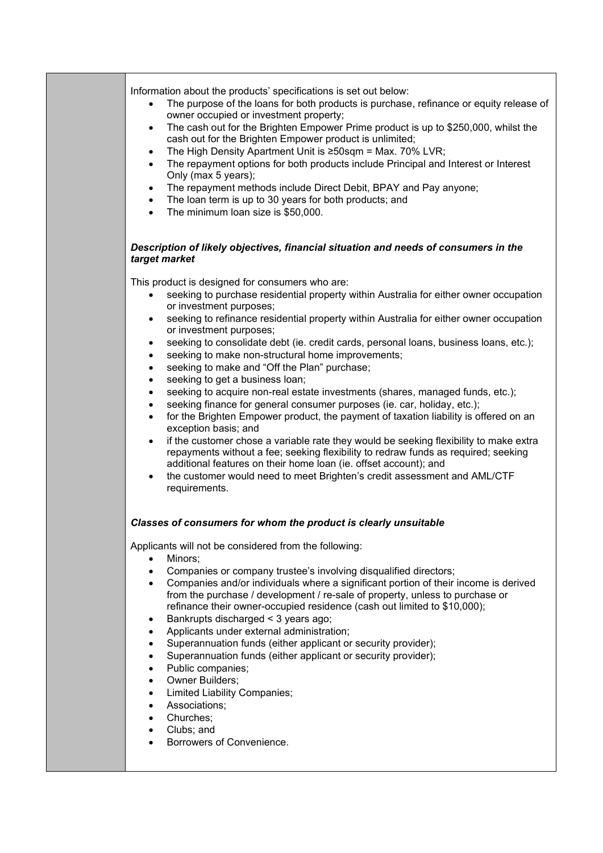| Information about the products' specifications is set out below:<br>The purpose of the loans for both products is purchase, refinance or equity release of<br>owner occupied or investment property;<br>The cash out for the Brighten Empower Prime product is up to \$250,000, whilst the<br>cash out for the Brighten Empower product is unlimited;<br>The High Density Apartment Unit is ≥50sqm = Max. 70% LVR;<br>$\bullet$<br>The repayment options for both products include Principal and Interest or Interest<br>$\bullet$<br>Only (max 5 years);<br>The repayment methods include Direct Debit, BPAY and Pay anyone;<br>$\bullet$<br>The loan term is up to 30 years for both products; and<br>$\bullet$<br>The minimum loan size is \$50,000.<br>$\bullet$                                                                                                                                                                                                                                                                                                                                                                                                                                                                                                            |  |  |  |  |  |
|---------------------------------------------------------------------------------------------------------------------------------------------------------------------------------------------------------------------------------------------------------------------------------------------------------------------------------------------------------------------------------------------------------------------------------------------------------------------------------------------------------------------------------------------------------------------------------------------------------------------------------------------------------------------------------------------------------------------------------------------------------------------------------------------------------------------------------------------------------------------------------------------------------------------------------------------------------------------------------------------------------------------------------------------------------------------------------------------------------------------------------------------------------------------------------------------------------------------------------------------------------------------------------|--|--|--|--|--|
| Description of likely objectives, financial situation and needs of consumers in the<br>target market                                                                                                                                                                                                                                                                                                                                                                                                                                                                                                                                                                                                                                                                                                                                                                                                                                                                                                                                                                                                                                                                                                                                                                            |  |  |  |  |  |
| This product is designed for consumers who are:<br>seeking to purchase residential property within Australia for either owner occupation<br>or investment purposes;<br>seeking to refinance residential property within Australia for either owner occupation<br>$\bullet$<br>or investment purposes;<br>seeking to consolidate debt (ie. credit cards, personal loans, business loans, etc.);<br>$\bullet$<br>seeking to make non-structural home improvements;<br>$\bullet$<br>seeking to make and "Off the Plan" purchase;<br>$\bullet$<br>seeking to get a business loan;<br>٠<br>seeking to acquire non-real estate investments (shares, managed funds, etc.);<br>$\bullet$<br>seeking finance for general consumer purposes (ie. car, holiday, etc.);<br>$\bullet$<br>for the Brighten Empower product, the payment of taxation liability is offered on an<br>$\bullet$<br>exception basis; and<br>if the customer chose a variable rate they would be seeking flexibility to make extra<br>$\bullet$<br>repayments without a fee; seeking flexibility to redraw funds as required; seeking<br>additional features on their home loan (ie. offset account); and<br>the customer would need to meet Brighten's credit assessment and AML/CTF<br>$\bullet$<br>requirements. |  |  |  |  |  |
| Classes of consumers for whom the product is clearly unsuitable                                                                                                                                                                                                                                                                                                                                                                                                                                                                                                                                                                                                                                                                                                                                                                                                                                                                                                                                                                                                                                                                                                                                                                                                                 |  |  |  |  |  |
| Applicants will not be considered from the following:<br>Minors;<br>$\bullet$<br>Companies or company trustee's involving disqualified directors;<br>$\bullet$<br>Companies and/or individuals where a significant portion of their income is derived<br>$\bullet$<br>from the purchase / development / re-sale of property, unless to purchase or<br>refinance their owner-occupied residence (cash out limited to \$10,000);<br>Bankrupts discharged < 3 years ago;<br>$\bullet$<br>Applicants under external administration;<br>$\bullet$<br>Superannuation funds (either applicant or security provider);<br>$\bullet$<br>Superannuation funds (either applicant or security provider);<br>$\bullet$<br>Public companies;<br>$\bullet$<br>Owner Builders;<br>$\bullet$<br><b>Limited Liability Companies;</b><br>$\bullet$<br>Associations;<br>$\bullet$<br>Churches;<br>$\bullet$<br>Clubs; and<br>$\bullet$<br>Borrowers of Convenience.                                                                                                                                                                                                                                                                                                                                  |  |  |  |  |  |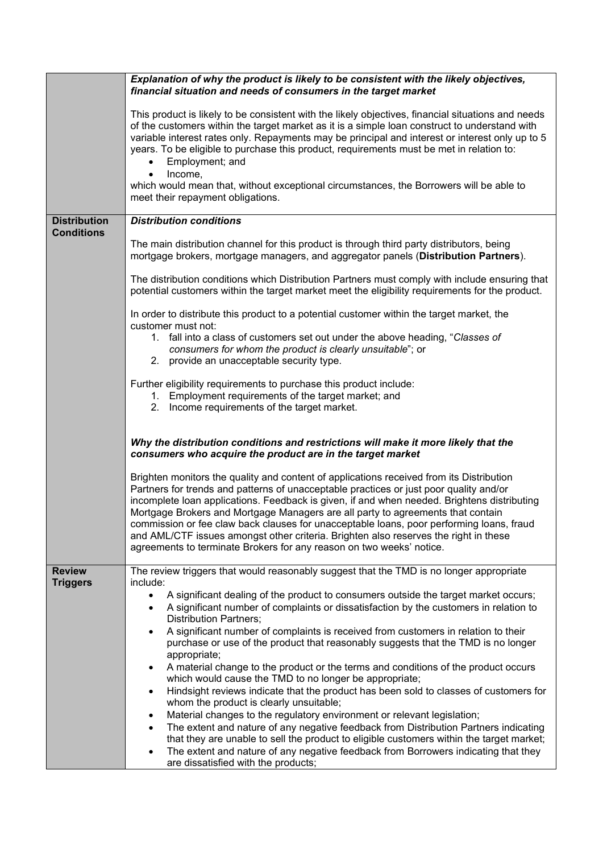|                                          | Explanation of why the product is likely to be consistent with the likely objectives,<br>financial situation and needs of consumers in the target market                                                                                                                                                                                                                                                                                                                                                                                                                                                                         |  |  |  |
|------------------------------------------|----------------------------------------------------------------------------------------------------------------------------------------------------------------------------------------------------------------------------------------------------------------------------------------------------------------------------------------------------------------------------------------------------------------------------------------------------------------------------------------------------------------------------------------------------------------------------------------------------------------------------------|--|--|--|
|                                          | This product is likely to be consistent with the likely objectives, financial situations and needs<br>of the customers within the target market as it is a simple loan construct to understand with<br>variable interest rates only. Repayments may be principal and interest or interest only up to 5<br>years. To be eligible to purchase this product, requirements must be met in relation to:<br>Employment; and<br>Income,                                                                                                                                                                                                 |  |  |  |
|                                          | which would mean that, without exceptional circumstances, the Borrowers will be able to<br>meet their repayment obligations.                                                                                                                                                                                                                                                                                                                                                                                                                                                                                                     |  |  |  |
| <b>Distribution</b><br><b>Conditions</b> | <b>Distribution conditions</b>                                                                                                                                                                                                                                                                                                                                                                                                                                                                                                                                                                                                   |  |  |  |
|                                          | The main distribution channel for this product is through third party distributors, being<br>mortgage brokers, mortgage managers, and aggregator panels (Distribution Partners).                                                                                                                                                                                                                                                                                                                                                                                                                                                 |  |  |  |
|                                          | The distribution conditions which Distribution Partners must comply with include ensuring that<br>potential customers within the target market meet the eligibility requirements for the product.                                                                                                                                                                                                                                                                                                                                                                                                                                |  |  |  |
|                                          | In order to distribute this product to a potential customer within the target market, the                                                                                                                                                                                                                                                                                                                                                                                                                                                                                                                                        |  |  |  |
|                                          | customer must not:<br>1. fall into a class of customers set out under the above heading, "Classes of<br>consumers for whom the product is clearly unsuitable"; or<br>2. provide an unacceptable security type.                                                                                                                                                                                                                                                                                                                                                                                                                   |  |  |  |
|                                          | Further eligibility requirements to purchase this product include:<br>1. Employment requirements of the target market; and<br>2. Income requirements of the target market.                                                                                                                                                                                                                                                                                                                                                                                                                                                       |  |  |  |
|                                          | Why the distribution conditions and restrictions will make it more likely that the<br>consumers who acquire the product are in the target market                                                                                                                                                                                                                                                                                                                                                                                                                                                                                 |  |  |  |
|                                          | Brighten monitors the quality and content of applications received from its Distribution<br>Partners for trends and patterns of unacceptable practices or just poor quality and/or<br>incomplete loan applications. Feedback is given, if and when needed. Brightens distributing<br>Mortgage Brokers and Mortgage Managers are all party to agreements that contain<br>commission or fee claw back clauses for unacceptable loans, poor performing loans, fraud<br>and AML/CTF issues amongst other criteria. Brighten also reserves the right in these<br>agreements to terminate Brokers for any reason on two weeks' notice. |  |  |  |
| <b>Review</b><br><b>Triggers</b>         | The review triggers that would reasonably suggest that the TMD is no longer appropriate<br>include:                                                                                                                                                                                                                                                                                                                                                                                                                                                                                                                              |  |  |  |
|                                          | A significant dealing of the product to consumers outside the target market occurs;<br>$\bullet$<br>A significant number of complaints or dissatisfaction by the customers in relation to<br>$\bullet$<br><b>Distribution Partners;</b>                                                                                                                                                                                                                                                                                                                                                                                          |  |  |  |
|                                          | A significant number of complaints is received from customers in relation to their<br>$\bullet$<br>purchase or use of the product that reasonably suggests that the TMD is no longer<br>appropriate;                                                                                                                                                                                                                                                                                                                                                                                                                             |  |  |  |
|                                          | A material change to the product or the terms and conditions of the product occurs<br>$\bullet$<br>which would cause the TMD to no longer be appropriate;                                                                                                                                                                                                                                                                                                                                                                                                                                                                        |  |  |  |
|                                          | Hindsight reviews indicate that the product has been sold to classes of customers for<br>$\bullet$<br>whom the product is clearly unsuitable;                                                                                                                                                                                                                                                                                                                                                                                                                                                                                    |  |  |  |
|                                          | Material changes to the regulatory environment or relevant legislation;<br>٠<br>The extent and nature of any negative feedback from Distribution Partners indicating<br>٠                                                                                                                                                                                                                                                                                                                                                                                                                                                        |  |  |  |
|                                          | that they are unable to sell the product to eligible customers within the target market;<br>The extent and nature of any negative feedback from Borrowers indicating that they<br>٠                                                                                                                                                                                                                                                                                                                                                                                                                                              |  |  |  |
|                                          | are dissatisfied with the products;                                                                                                                                                                                                                                                                                                                                                                                                                                                                                                                                                                                              |  |  |  |